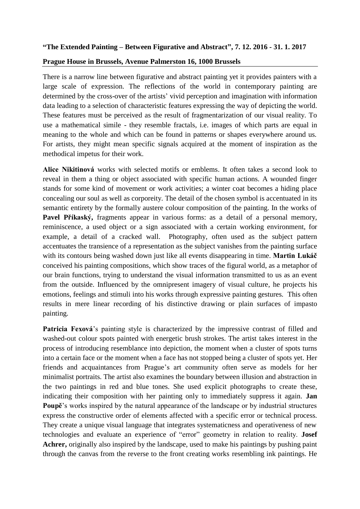## **"The Extended Painting – Between Figurative and Abstract", 7. 12. 2016 - 31. 1. 2017**

## **Prague House in Brussels, Avenue Palmerston 16, 1000 Brussels**

There is a narrow line between figurative and abstract painting yet it provides painters with a large scale of expression. The reflections of the world in contemporary painting are determined by the cross-over of the artists' vivid perception and imagination with information data leading to a selection of characteristic features expressing the way of depicting the world. These features must be perceived as the result of fragmentarization of our visual reality. To use a mathematical simile - they resemble fractals, i.e. images of which parts are equal in meaning to the whole and which can be found in patterns or shapes everywhere around us. For artists, they might mean specific signals acquired at the moment of inspiration as the methodical impetus for their work.

**Alice Nikitinová** works with selected motifs or emblems. It often takes a second look to reveal in them a thing or object associated with specific human actions. A wounded finger stands for some kind of movement or work activities; a winter coat becomes a hiding place concealing our soul as well as corporeity. The detail of the chosen symbol is accentuated in its semantic entirety by the formally austere colour composition of the painting. In the works of Pavel Příkaský, fragments appear in various forms: as a detail of a personal memory, reminiscence, a used object or a sign associated with a certain working environment, for example, a detail of a cracked wall. Photography, often used as the subject pattern accentuates the transience of a representation as the subject vanishes from the painting surface with its contours being washed down just like all events disappearing in time. **Martin Lukáč** conceived his painting compositions, which show traces of the figural world, as a metaphor of our brain functions, trying to understand the visual information transmitted to us as an event from the outside. Influenced by the omnipresent imagery of visual culture, he projects his emotions, feelings and stimuli into his works through expressive painting gestures. This often results in mere linear recording of his distinctive drawing or plain surfaces of impasto painting.

**Patricia Fexová**'s painting style is characterized by the impressive contrast of filled and washed-out colour spots painted with energetic brush strokes. The artist takes interest in the process of introducing resemblance into depiction, the moment when a cluster of spots turns into a certain face or the moment when a face has not stopped being a cluster of spots yet. Her friends and acquaintances from Prague's art community often serve as models for her minimalist portraits. The artist also examines the boundary between illusion and abstraction in the two paintings in red and blue tones. She used explicit photographs to create these, indicating their composition with her painting only to immediately suppress it again. **Jan Poupě**'s works inspired by the natural appearance of the landscape or by industrial structures express the constructive order of elements affected with a specific error or technical process. They create a unique visual language that integrates systematicness and operativeness of new technologies and evaluate an experience of "error" geometry in relation to reality. **Josef Achrer,** originally also inspired by the landscape, used to make his paintings by pushing paint through the canvas from the reverse to the front creating works resembling ink paintings. He